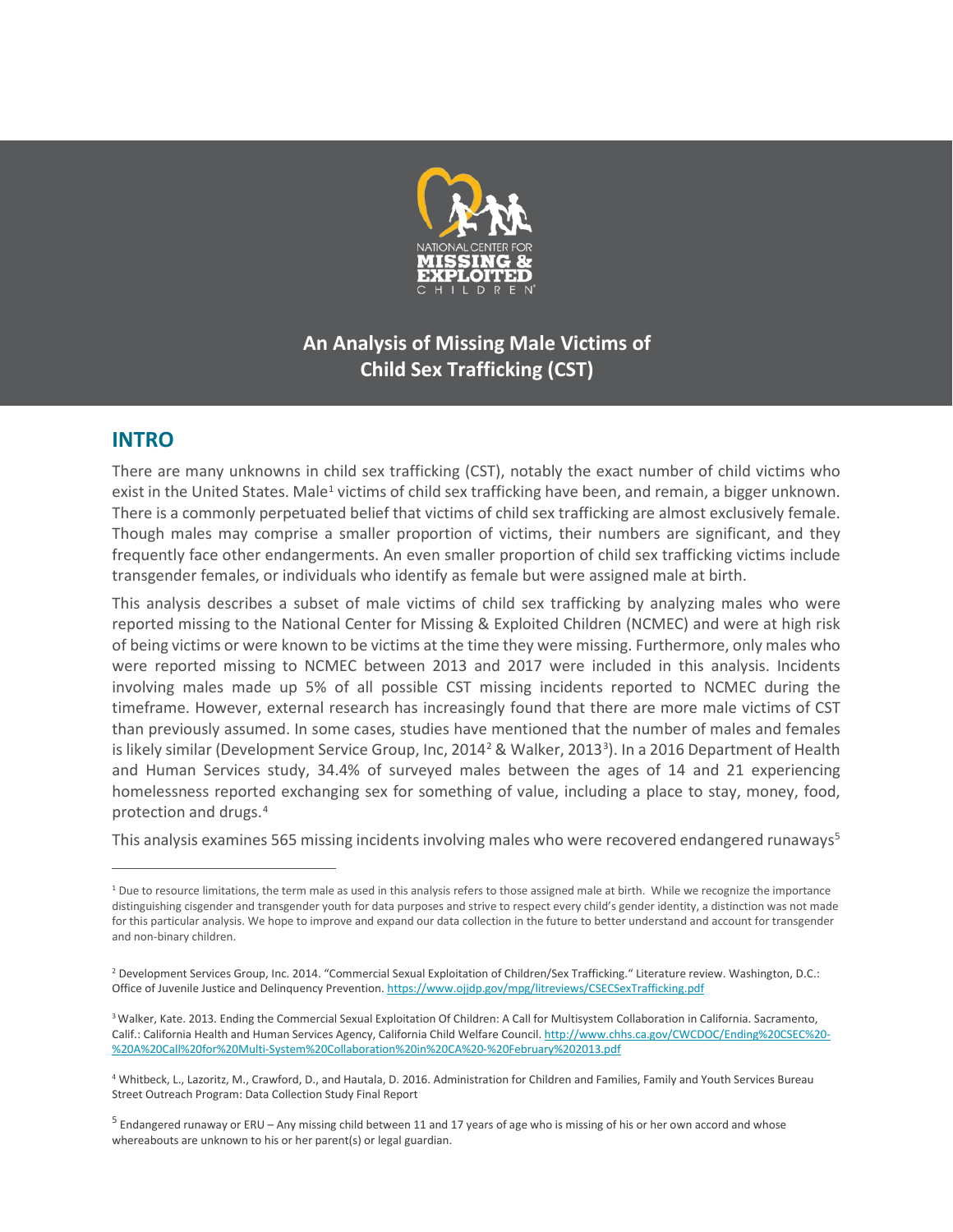

# **An Analysis of Missing Male Victims of Child Sex Trafficking (CST)**

## **INTRO**

 $\overline{a}$ 

There are many unknowns in child sex trafficking (CST), notably the exact number of child victims who exist in the United States. Male<sup>[1](#page-0-0)</sup> victims of child sex trafficking have been, and remain, a bigger unknown. There is a commonly perpetuated belief that victims of child sex trafficking are almost exclusively female. Though males may comprise a smaller proportion of victims, their numbers are significant, and they frequently face other endangerments. An even smaller proportion of child sex trafficking victims include transgender females, or individuals who identify as female but were assigned male at birth.

This analysis describes a subset of male victims of child sex trafficking by analyzing males who were reported missing to the National Center for Missing & Exploited Children (NCMEC) and were at high risk of being victims or were known to be victims at the time they were missing. Furthermore, only males who were reported missing to NCMEC between 2013 and 2017 were included in this analysis. Incidents involving males made up 5% of all possible CST missing incidents reported to NCMEC during the timeframe. However, external research has increasingly found that there are more male victims of CST than previously assumed. In some cases, studies have mentioned that the number of males and females is likely similar (Development Service Group, Inc, [2](#page-0-1)014<sup>2</sup> & Walker, 201[3](#page-0-2)<sup>3</sup>). In a 2016 Department of Health and Human Services study, 34.4% of surveyed males between the ages of 14 and 21 experiencing homelessness reported exchanging sex for something of value, including a place to stay, money, food, protection and drugs.[4](#page-0-3)

This analysis examines [5](#page-0-4)65 missing incidents involving males who were recovered endangered runaways<sup>5</sup>

<span id="page-0-0"></span><sup>&</sup>lt;sup>1</sup> Due to resource limitations, the term male as used in this analysis refers to those assigned male at birth. While we recognize the importance distinguishing cisgender and transgender youth for data purposes and strive to respect every child's gender identity, a distinction was not made for this particular analysis. We hope to improve and expand our data collection in the future to better understand and account for transgender and non-binary children.

<span id="page-0-1"></span><sup>&</sup>lt;sup>2</sup> Development Services Group, Inc. 2014. "Commercial Sexual Exploitation of Children/Sex Trafficking." Literature review. Washington, D.C.: Office of Juvenile Justice and Delinquency Prevention. <https://www.ojjdp.gov/mpg/litreviews/CSECSexTrafficking.pdf>

<span id="page-0-2"></span><sup>&</sup>lt;sup>3</sup> Walker, Kate. 2013. Ending the Commercial Sexual Exploitation Of Children: A Call for Multisystem Collaboration in California. Sacramento, Calif.: California Health and Human Services Agency, California Child Welfare Council[. http://www.chhs.ca.gov/CWCDOC/Ending%20CSEC%20-](http://www.chhs.ca.gov/CWCDOC/Ending%20CSEC%20-%20A%20Call%20for%20Multi-System%20Collaboration%20in%20CA%20-%20February%202013.pdf) [%20A%20Call%20for%20Multi-System%20Collaboration%20in%20CA%20-%20February%202013.pdf](http://www.chhs.ca.gov/CWCDOC/Ending%20CSEC%20-%20A%20Call%20for%20Multi-System%20Collaboration%20in%20CA%20-%20February%202013.pdf)

<span id="page-0-3"></span><sup>4</sup> Whitbeck, L., Lazoritz, M., Crawford, D., and Hautala, D. 2016. Administration for Children and Families, Family and Youth Services Bureau Street Outreach Program: Data Collection Study Final Report

<span id="page-0-4"></span><sup>5</sup> Endangered runaway or ERU – Any missing child between 11 and 17 years of age who is missing of his or her own accord and whose whereabouts are unknown to his or her parent(s) or legal guardian.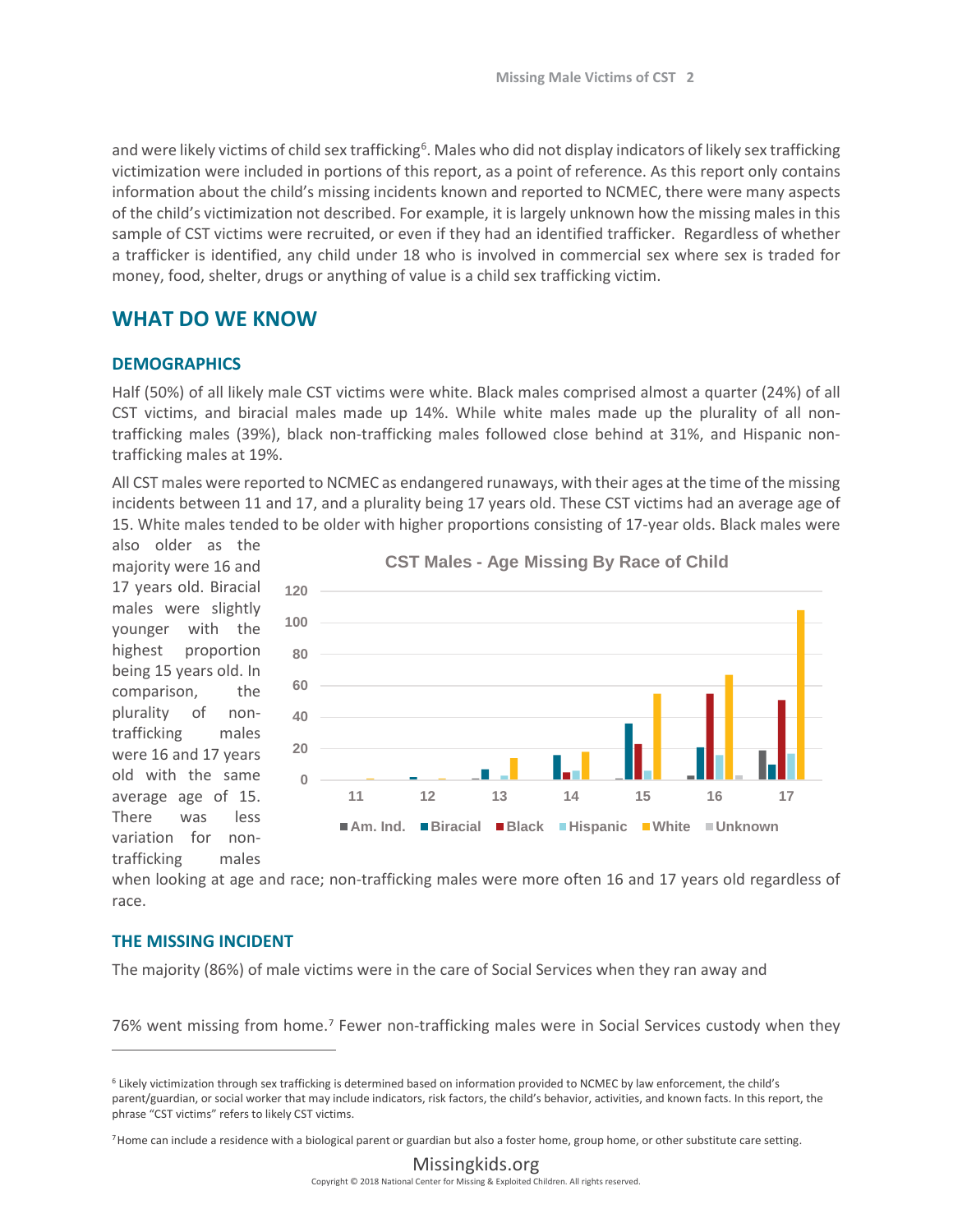and were likely victims of child sex trafficking<sup>[6](#page-1-0)</sup>. Males who did not display indicators of likely sex trafficking victimization were included in portions of this report, as a point of reference. As this report only contains information about the child's missing incidents known and reported to NCMEC, there were many aspects of the child's victimization not described. For example, it is largely unknown how the missing males in this sample of CST victims were recruited, or even if they had an identified trafficker. Regardless of whether a trafficker is identified, any child under 18 who is involved in commercial sex where sex is traded for money, food, shelter, drugs or anything of value is a child sex trafficking victim.

## **WHAT DO WE KNOW**

#### **DEMOGRAPHICS**

Half (50%) of all likely male CST victims were white. Black males comprised almost a quarter (24%) of all CST victims, and biracial males made up 14%. While white males made up the plurality of all nontrafficking males (39%), black non-trafficking males followed close behind at 31%, and Hispanic nontrafficking males at 19%.

All CST males were reported to NCMEC as endangered runaways, with their ages at the time of the missing incidents between 11 and 17, and a plurality being 17 years old. These CST victims had an average age of 15. White males tended to be older with higher proportions consisting of 17-year olds. Black males were

also older as the majority were 16 and 17 years old. Biracial males were slightly younger with the highest proportion being 15 years old. In comparison, the plurality of nontrafficking males were 16 and 17 years old with the same average age of 15. There was less variation for nontrafficking males



when looking at age and race; non-trafficking males were more often 16 and 17 years old regardless of race.

#### **THE MISSING INCIDENT**

 $\overline{a}$ 

The majority (86%) of male victims were in the care of Social Services when they ran away and

[7](#page-1-1)6% went missing from home.<sup>7</sup> Fewer non-trafficking males were in Social Services custody when they

<span id="page-1-1"></span>7Home can include a residence with a biological parent or guardian but also a foster home, group home, or other substitute care setting.

<span id="page-1-0"></span><sup>6</sup> Likely victimization through sex trafficking is determined based on information provided to NCMEC by law enforcement, the child's parent/guardian, or social worker that may include indicators, risk factors, the child's behavior, activities, and known facts. In this report, the phrase "CST victims" refers to likely CST victims.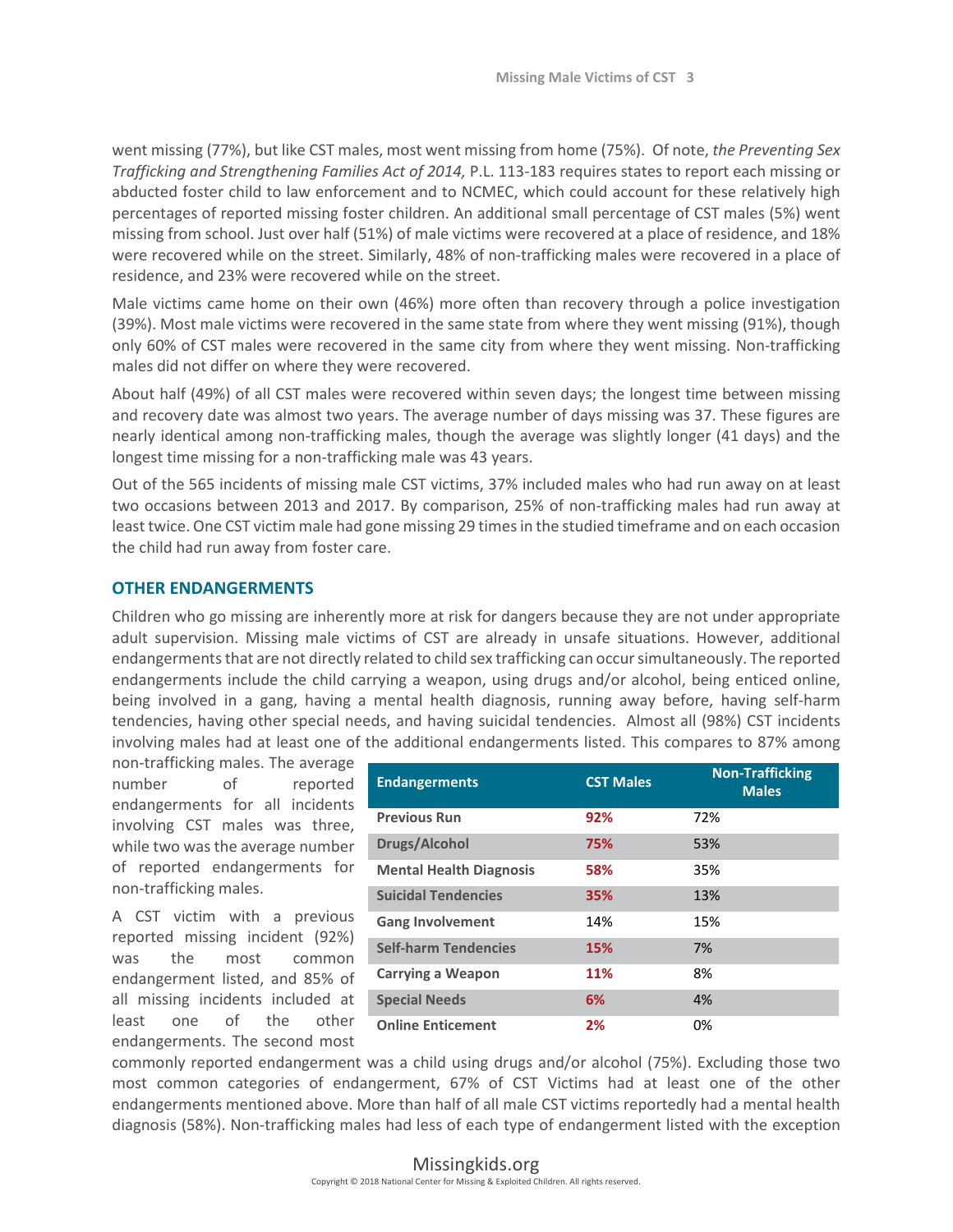went missing (77%), but like CST males, most went missing from home (75%). Of note, *the Preventing Sex Trafficking and Strengthening Families Act of 2014,* P.L. 113-183 requires states to report each missing or abducted foster child to law enforcement and to NCMEC, which could account for these relatively high percentages of reported missing foster children. An additional small percentage of CST males (5%) went missing from school. Just over half (51%) of male victims were recovered at a place of residence, and 18% were recovered while on the street. Similarly, 48% of non-trafficking males were recovered in a place of residence, and 23% were recovered while on the street.

Male victims came home on their own (46%) more often than recovery through a police investigation (39%). Most male victims were recovered in the same state from where they went missing (91%), though only 60% of CST males were recovered in the same city from where they went missing. Non-trafficking males did not differ on where they were recovered.

About half (49%) of all CST males were recovered within seven days; the longest time between missing and recovery date was almost two years. The average number of days missing was 37. These figures are nearly identical among non-trafficking males, though the average was slightly longer (41 days) and the longest time missing for a non-trafficking male was 43 years.

Out of the 565 incidents of missing male CST victims, 37% included males who had run away on at least two occasions between 2013 and 2017. By comparison, 25% of non-trafficking males had run away at least twice. One CST victim male had gone missing 29 times in the studied timeframe and on each occasion the child had run away from foster care.

#### **OTHER ENDANGERMENTS**

Children who go missing are inherently more at risk for dangers because they are not under appropriate adult supervision. Missing male victims of CST are already in unsafe situations. However, additional endangerments that are not directly related to child sex trafficking can occur simultaneously. The reported endangerments include the child carrying a weapon, using drugs and/or alcohol, being enticed online, being involved in a gang, having a mental health diagnosis, running away before, having self-harm tendencies, having other special needs, and having suicidal tendencies. Almost all (98%) CST incidents involving males had at least one of the additional endangerments listed. This compares to 87% among

non-trafficking males. The average number of reported endangerments for all incidents involving CST males was three, while two was the average number of reported endangerments for non-trafficking males.

A CST victim with a previous reported missing incident (92%) was the most common endangerment listed, and 85% of all missing incidents included at least one of the other endangerments. The second most

| <b>Endangerments</b>           | <b>CST Males</b> | <b>Non-Trafficking</b><br><b>Males</b> |
|--------------------------------|------------------|----------------------------------------|
| <b>Previous Run</b>            | 92%              | 72%                                    |
| <b>Drugs/Alcohol</b>           | 75%              | 53%                                    |
| <b>Mental Health Diagnosis</b> | 58%              | 35%                                    |
| <b>Suicidal Tendencies</b>     | 35%              | 13%                                    |
| <b>Gang Involvement</b>        | 14%              | 15%                                    |
| <b>Self-harm Tendencies</b>    | 15%              | 7%                                     |
| <b>Carrying a Weapon</b>       | 11%              | 8%                                     |
| <b>Special Needs</b>           | 6%               | 4%                                     |
| <b>Online Enticement</b>       | 2%               | 0%                                     |

commonly reported endangerment was a child using drugs and/or alcohol (75%). Excluding those two most common categories of endangerment, 67% of CST Victims had at least one of the other endangerments mentioned above. More than half of all male CST victims reportedly had a mental health diagnosis (58%). Non-trafficking males had less of each type of endangerment listed with the exception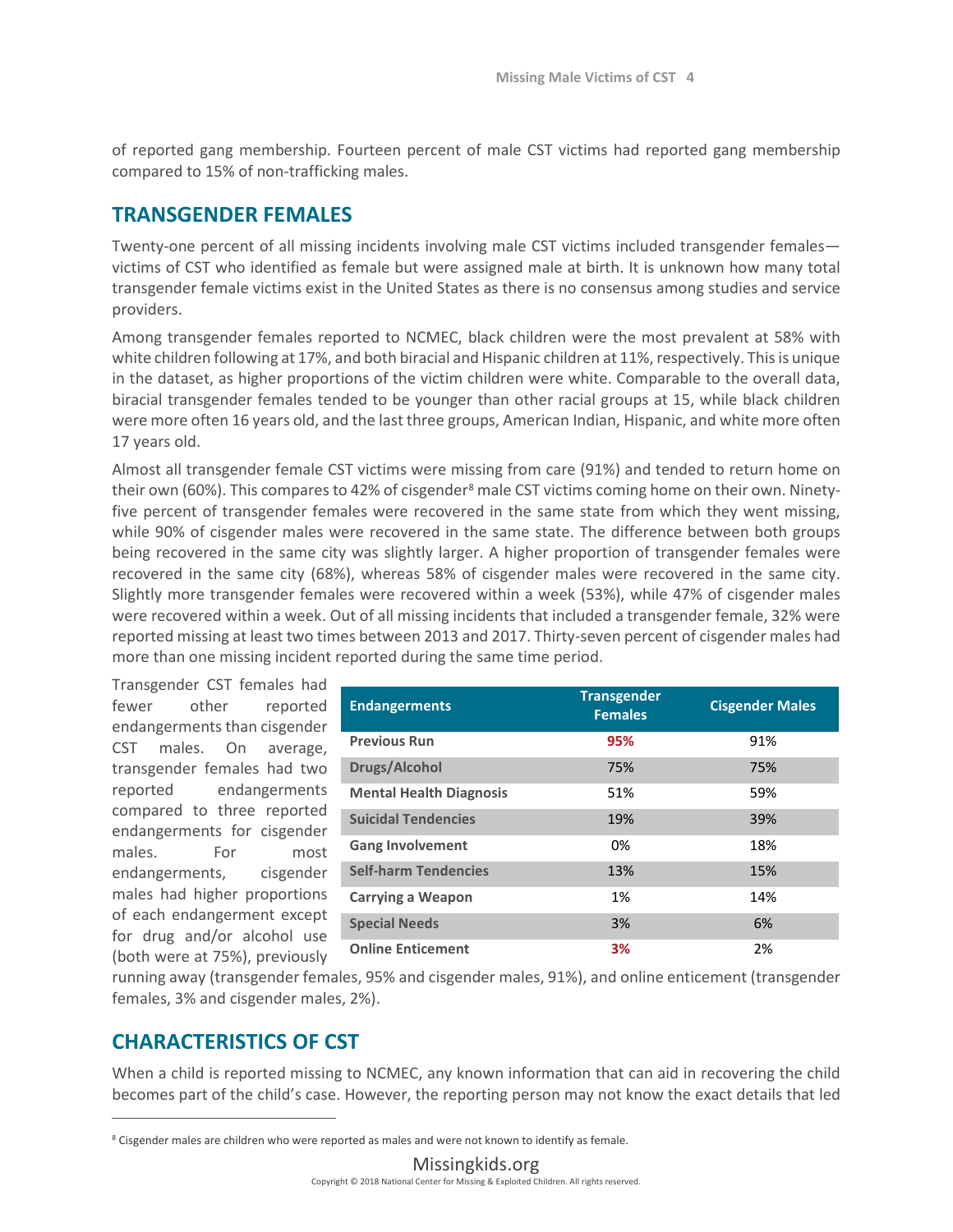of reported gang membership. Fourteen percent of male CST victims had reported gang membership compared to 15% of non-trafficking males.

### **TRANSGENDER FEMALES**

Twenty-one percent of all missing incidents involving male CST victims included transgender females victims of CST who identified as female but were assigned male at birth. It is unknown how many total transgender female victims exist in the United States as there is no consensus among studies and service providers.

Among transgender females reported to NCMEC, black children were the most prevalent at 58% with white children following at 17%, and both biracial and Hispanic children at 11%, respectively. This is unique in the dataset, as higher proportions of the victim children were white. Comparable to the overall data, biracial transgender females tended to be younger than other racial groups at 15, while black children were more often 16 years old, and the last three groups, American Indian, Hispanic, and white more often 17 years old.

Almost all transgender female CST victims were missing from care (91%) and tended to return home on their own (60%). This compares to 42% of cisgender<sup>[8](#page-3-0)</sup> male CST victims coming home on their own. Ninetyfive percent of transgender females were recovered in the same state from which they went missing, while 90% of cisgender males were recovered in the same state. The difference between both groups being recovered in the same city was slightly larger. A higher proportion of transgender females were recovered in the same city (68%), whereas 58% of cisgender males were recovered in the same city. Slightly more transgender females were recovered within a week (53%), while 47% of cisgender males were recovered within a week. Out of all missing incidents that included a transgender female, 32% were reported missing at least two times between 2013 and 2017. Thirty-seven percent of cisgender males had more than one missing incident reported during the same time period.

Transgender CST females had fewer other reported endangerments than cisgender CST males. On average, transgender females had two reported endangerments compared to three reported endangerments for cisgender males. For most endangerments, cisgender males had higher proportions of each endangerment except for drug and/or alcohol use (both were at 75%), previously

| <b>Endangerments</b>           | <b>Transgender</b><br><b>Females</b> | <b>Cisgender Males</b> |
|--------------------------------|--------------------------------------|------------------------|
| <b>Previous Run</b>            | 95%                                  | 91%                    |
| Drugs/Alcohol                  | 75%                                  | 75%                    |
| <b>Mental Health Diagnosis</b> | 51%                                  | 59%                    |
| <b>Suicidal Tendencies</b>     | 19%                                  | 39%                    |
| <b>Gang Involvement</b>        | 0%                                   | 18%                    |
| <b>Self-harm Tendencies</b>    | 13%                                  | 15%                    |
| <b>Carrying a Weapon</b>       | 1%                                   | 14%                    |
| <b>Special Needs</b>           | 3%                                   | 6%                     |
| <b>Online Enticement</b>       | 3%                                   | 2%                     |

running away (transgender females, 95% and cisgender males, 91%), and online enticement (transgender females, 3% and cisgender males, 2%).

## **CHARACTERISTICS OF CST**

 $\overline{a}$ 

When a child is reported missing to NCMEC, any known information that can aid in recovering the child becomes part of the child's case. However, the reporting person may not know the exact details that led

<span id="page-3-0"></span><sup>&</sup>lt;sup>8</sup> Cisgender males are children who were reported as males and were not known to identify as female.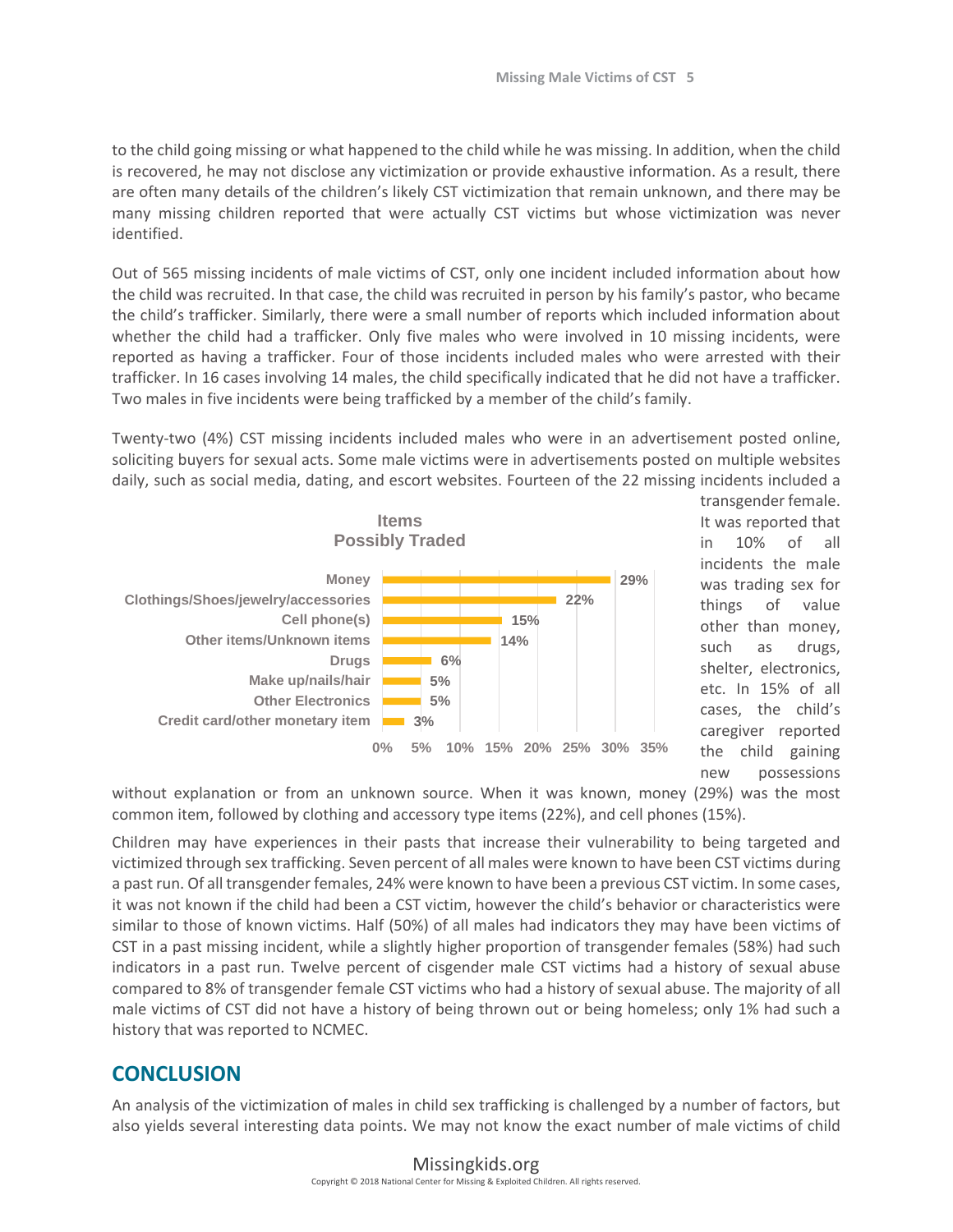to the child going missing or what happened to the child while he was missing. In addition, when the child is recovered, he may not disclose any victimization or provide exhaustive information. As a result, there are often many details of the children's likely CST victimization that remain unknown, and there may be many missing children reported that were actually CST victims but whose victimization was never identified.

Out of 565 missing incidents of male victims of CST, only one incident included information about how the child was recruited. In that case, the child was recruited in person by his family's pastor, who became the child's trafficker. Similarly, there were a small number of reports which included information about whether the child had a trafficker. Only five males who were involved in 10 missing incidents, were reported as having a trafficker. Four of those incidents included males who were arrested with their trafficker. In 16 cases involving 14 males, the child specifically indicated that he did not have a trafficker. Two males in five incidents were being trafficked by a member of the child's family.

Twenty-two (4%) CST missing incidents included males who were in an advertisement posted online, soliciting buyers for sexual acts. Some male victims were in advertisements posted on multiple websites daily, such as social media, dating, and escort websites. Fourteen of the 22 missing incidents included a



transgender female. It was reported that in 10% of all incidents the male was trading sex for things of value other than money, such as drugs, shelter, electronics, etc. In 15% of all cases, the child's caregiver reported the child gaining new possessions

without explanation or from an unknown source. When it was known, money (29%) was the most common item, followed by clothing and accessory type items (22%), and cell phones (15%).

Children may have experiences in their pasts that increase their vulnerability to being targeted and victimized through sex trafficking. Seven percent of all males were known to have been CST victims during a past run. Of all transgender females, 24% were known to have been a previous CST victim. In some cases, it was not known if the child had been a CST victim, however the child's behavior or characteristics were similar to those of known victims. Half (50%) of all males had indicators they may have been victims of CST in a past missing incident, while a slightly higher proportion of transgender females (58%) had such indicators in a past run. Twelve percent of cisgender male CST victims had a history of sexual abuse compared to 8% of transgender female CST victims who had a history of sexual abuse. The majority of all male victims of CST did not have a history of being thrown out or being homeless; only 1% had such a history that was reported to NCMEC.

### **CONCLUSION**

An analysis of the victimization of males in child sex trafficking is challenged by a number of factors, but also yields several interesting data points. We may not know the exact number of male victims of child